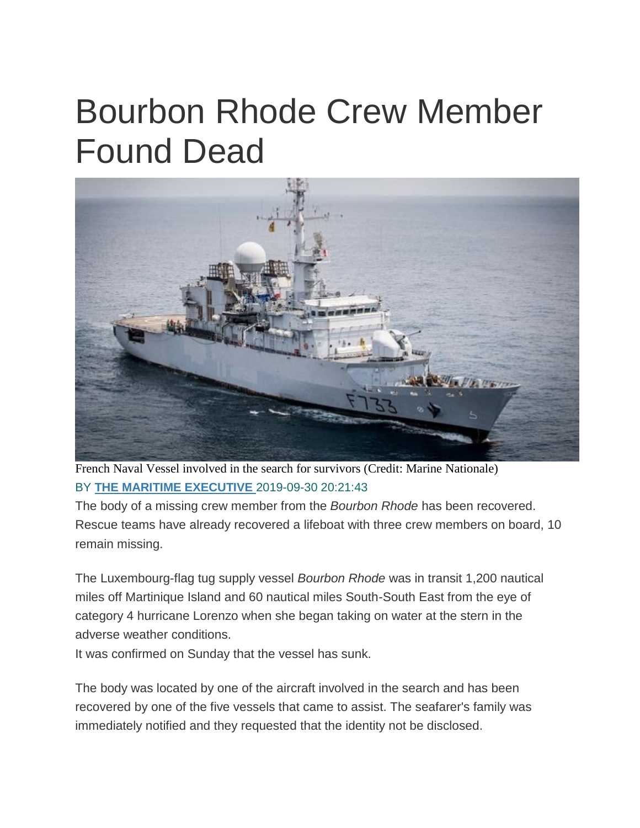## Bourbon Rhode Crew Member Found Dead



French Naval Vessel involved in the search for survivors (Credit: Marine Nationale) BY **[THE MARITIME EXECUTIVE](https://www.maritime-executive.com/author/marex)** 2019-09-30 20:21:43

The body of a missing crew member from the *Bourbon Rhode* has been recovered. Rescue teams have already recovered a lifeboat with three crew members on board, 10 remain missing.

The Luxembourg-flag tug supply vessel *Bourbon Rhode* was in transit 1,200 nautical miles off Martinique Island and 60 nautical miles South-South East from the eye of category 4 hurricane Lorenzo when she began taking on water at the stern in the adverse weather conditions.

It was confirmed on Sunday that the vessel has sunk.

The body was located by one of the aircraft involved in the search and has been recovered by one of the five vessels that came to assist. The seafarer's family was immediately notified and they requested that the identity not be disclosed.